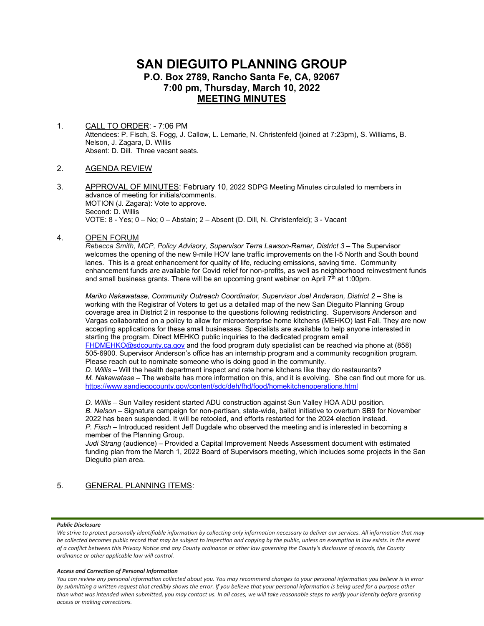# **SAN DIEGUITO PLANNING GROUP P.O. Box 2789, Rancho Santa Fe, CA, 92067 7:00 pm, Thursday, March 10, 2022 MEETING MINUTES**

1. CALL TO ORDER: - 7:06 PM Attendees: P. Fisch, S. Fogg, J. Callow, L. Lemarie, N. Christenfeld (joined at 7:23pm), S. Williams, B. Nelson, J. Zagara, D. Willis Absent: D. Dill. Three vacant seats.

# 2. AGENDA REVIEW

3. APPROVAL OF MINUTES: February 10, 2022 SDPG Meeting Minutes circulated to members in advance of meeting for initials/comments. MOTION (J. Zagara): Vote to approve. Second: D. Willis VOTE: 8 - Yes; 0 – No; 0 – Abstain; 2 – Absent (D. Dill, N. Christenfeld); 3 - Vacant

## 4. OPEN FORUM

*Rebecca Smith, MCP, Policy Advisory, Supervisor Terra Lawson-Remer, District 3* – The Supervisor welcomes the opening of the new 9-mile HOV lane traffic improvements on the I-5 North and South bound lanes. This is a great enhancement for quality of life, reducing emissions, saving time. Community enhancement funds are available for Covid relief for non-profits, as well as neighborhood reinvestment funds and small business grants. There will be an upcoming grant webinar on April  $7<sup>th</sup>$  at 1:00pm.

*Mariko Nakawatase, Community Outreach Coordinator, Supervisor Joel Anderson, District 2* – She is working with the Registrar of Voters to get us a detailed map of the new San Dieguito Planning Group coverage area in District 2 in response to the questions following redistricting. Supervisors Anderson and Vargas collaborated on a policy to allow for microenterprise home kitchens (MEHKO) last Fall. They are now accepting applications for these small businesses. Specialists are available to help anyone interested in starting the program. Direct MEHKO public inquiries to the dedicated program email [FHDMEHKO@sdcounty.ca.gov](mailto:FHDMEHKO@sdcounty.ca.gov) and the food program duty specialist can be reached via phone at (858)

505-6900. Supervisor Anderson's office has an internship program and a community recognition program. Please reach out to nominate someone who is doing good in the community.

 *D. Willis* – Will the health department inspect and rate home kitchens like they do restaurants?  *M. Nakawatase* – The website has more information on this, and it is evolving. She can find out more for us. <https://www.sandiegocounty.gov/content/sdc/deh/fhd/food/homekitchenoperations.html>

*D. Willis* – Sun Valley resident started ADU construction against Sun Valley HOA ADU position. *B. Nelson* – Signature campaign for non-partisan, state-wide, ballot initiative to overturn SB9 for November 2022 has been suspended. It will be retooled, and efforts restarted for the 2024 election instead. *P. Fisch* – Introduced resident Jeff Dugdale who observed the meeting and is interested in becoming a member of the Planning Group.

*Judi Strang* (audience) – Provided a Capital Improvement Needs Assessment document with estimated funding plan from the March 1, 2022 Board of Supervisors meeting, which includes some projects in the San Dieguito plan area.

# 5. GENERAL PLANNING ITEMS:

### *Public Disclosure*

#### *Access and Correction of Personal Information*

We strive to protect personally identifiable information by collecting only information necessary to deliver our services. All information that may *be collected becomes public record that may be subject to inspection and copying by the public, unless an exemption in law exists. In the event of a conflict between this Privacy Notice and any County ordinance or other law governing the County's disclosure of records, the County ordinance or other applicable law will control.*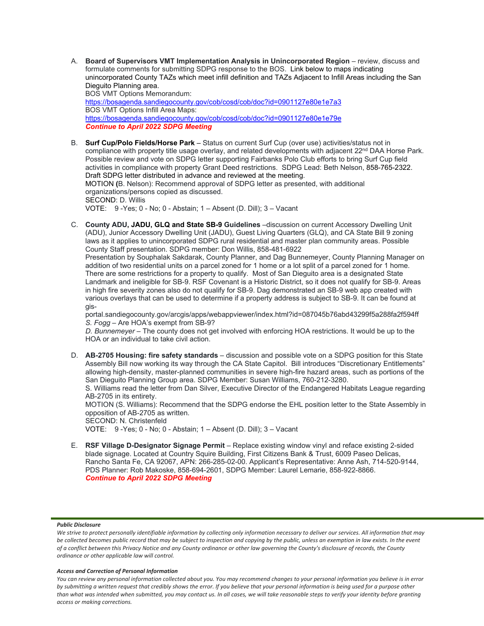A. **Board of Supervisors VMT Implementation Analysis in Unincorporated Region** – review, discuss and formulate comments for submitting SDPG response to the BOS. Link below to maps indicating unincorporated County TAZs which meet infill definition and TAZs Adjacent to Infill Areas including the San Dieguito Planning area. BOS VMT Options Memorandum:

<https://bosagenda.sandiegocounty.gov/cob/cosd/cob/doc?id=0901127e80e1e7a3> BOS VMT Options Infill Area Maps: <https://bosagenda.sandiegocounty.gov/cob/cosd/cob/doc?id=0901127e80e1e79e> *Continue to April 2022 SDPG Meeting*

- B. **Surf Cup/Polo Fields/Horse Park** Status on current Surf Cup (over use) activities/status not in compliance with property title usage overlay, and related developments with adjacent 22<sup>nd</sup> DAA Horse Park. Possible review and vote on SDPG letter supporting Fairbanks Polo Club efforts to bring Surf Cup field activities in compliance with property Grant Deed restrictions. SDPG Lead: Beth Nelson, 858-765-2322. Draft SDPG letter distributed in advance and reviewed at the meeting. MOTION **(**B. Nelson): Recommend approval of SDPG letter as presented, with additional organizations/persons copied as discussed. SECOND: D. Willis VOTE: 9 -Yes; 0 - No; 0 - Abstain; 1 – Absent (D. Dill); 3 – Vacant
- C. **County ADU, JADU, GLQ and State SB-9 Guidelines** –discussion on current Accessory Dwelling Unit (ADU), Junior Accessory Dwelling Unit (JADU), Guest Living Quarters (GLQ), and CA State Bill 9 zoning laws as it applies to unincorporated SDPG rural residential and master plan community areas. Possible County Staff presentation. SDPG member: Don Willis, 858-481-6922

Presentation by Souphalak Sakdarak, County Planner, and Dag Bunnemeyer, County Planning Manager on addition of two residential units on a parcel zoned for 1 home or a lot split of a parcel zoned for 1 home. There are some restrictions for a property to qualify. Most of San Dieguito area is a designated State Landmark and ineligible for SB-9. RSF Covenant is a Historic District, so it does not qualify for SB-9. Areas in high fire severity zones also do not qualify for SB-9. Dag demonstrated an SB-9 web app created with various overlays that can be used to determine if a property address is subject to SB-9. It can be found at gis-

portal.sandiegocounty.gov/arcgis/apps/webappviewer/index.html?id=087045b76abd43299f5a288fa2f594ff *S. Fogg* – Are HOA's exempt from SB-9?

*D. Bunnemeyer* – The county does not get involved with enforcing HOA restrictions. It would be up to the HOA or an individual to take civil action.

D. **AB-2705 Housing: fire safety standards** – discussion and possible vote on a SDPG position for this State Assembly Bill now working its way through the CA State Capitol. Bill introduces "Discretionary Entitlements" allowing high-density, master-planned communities in severe high-fire hazard areas, such as portions of the San Dieguito Planning Group area. SDPG Member: Susan Williams, 760-212-3280.

S. Williams read the letter from Dan Silver, Executive Director of the Endangered Habitats League regarding AB-2705 in its entirety.

MOTION (S. Williams): Recommend that the SDPG endorse the EHL position letter to the State Assembly in opposition of AB-2705 as written.

SECOND: N. Christenfeld

VOTE: 9 -Yes; 0 - No; 0 - Abstain; 1 – Absent (D. Dill); 3 – Vacant

E. **RSF Village D-Designator Signage Permit** – Replace existing window vinyl and reface existing 2-sided blade signage. Located at Country Squire Building, First Citizens Bank & Trust, 6009 Paseo Delicas, Rancho Santa Fe, CA 92067, APN: 266-285-02-00. Applicant's Representative: Anne Ash, 714-520-9144, PDS Planner: Rob Makoske, 858-694-2601, SDPG Member: Laurel Lemarie, 858-922-8866. *Continue to April 2022 SDPG Meeting*

### *Public Disclosure*

### *Access and Correction of Personal Information*

We strive to protect personally identifiable information by collecting only information necessary to deliver our services. All information that may *be collected becomes public record that may be subject to inspection and copying by the public, unless an exemption in law exists. In the event of a conflict between this Privacy Notice and any County ordinance or other law governing the County's disclosure of records, the County ordinance or other applicable law will control.*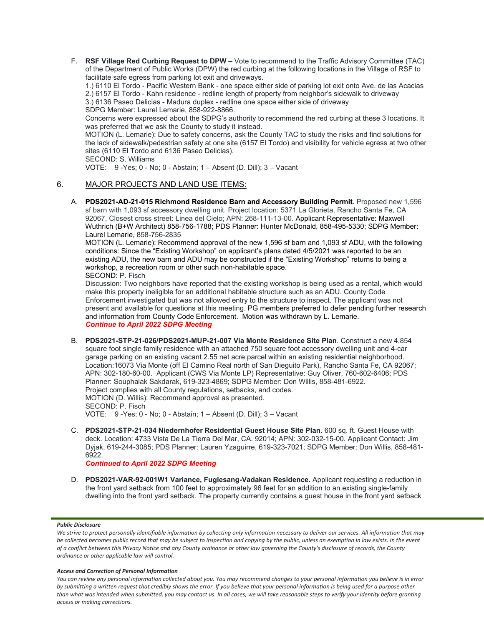F. **RSF Village Red Curbing Request to DPW –** Vote to recommend to the Traffic Advisory Committee (TAC) of the Department of Public Works (DPW) the red curbing at the following locations in the Village of RSF to facilitate safe egress from parking lot exit and driveways.

1.) 6110 El Tordo - Pacific Western Bank - one space either side of parking lot exit onto Ave. de las Acacias 2.) 6157 El Tordo - Kahn residence - redline length of property from neighbor's sidewalk to driveway

3.) 6136 Paseo Delicias - Madura duplex - redline one space either side of driveway

SDPG Member: Laurel Lemarie, 858-922-8866.

Concerns were expressed about the SDPG's authority to recommend the red curbing at these 3 locations. It was preferred that we ask the County to study it instead.

MOTION (L. Lemarie): Due to safety concerns, ask the County TAC to study the risks and find solutions for the lack of sidewalk/pedestrian safety at one site (6157 El Tordo) and visibility for vehicle egress at two other sites (6110 El Tordo and 6136 Paseo Delicias).

SECOND: S. Williams

VOTE: 9 -Yes; 0 - No; 0 - Abstain; 1 – Absent (D. Dill); 3 – Vacant

# 6. MAJOR PROJECTS AND LAND USE ITEMS:

A. **PDS2021-AD-21-015 Richmond Residence Barn and Accessory Building Permit**. Proposed new 1,596 sf barn with 1,093 sf accessory dwelling unit. Project location: 5371 La Glorieta, Rancho Santa Fe, CA 92067, Closest cross street: Linea del Cielo; APN: 268-111-13-00. Applicant Representative: Maxwell Wuthrich (B+W Architect) 858-756-1788; PDS Planner: Hunter McDonald, 858-495-5330; SDPG Member: Laurel Lemarie, 858-756-2835

MOTION (L. Lemarie): Recommend approval of the new 1,596 sf barn and 1,093 sf ADU, with the following conditions: Since the "Existing Workshop" on applicant's plans dated 4/5/2021 was reported to be an existing ADU, the new barn and ADU may be constructed if the "Existing Workshop" returns to being a workshop, a recreation room or other such non-habitable space. SECOND: P. Fisch

Discussion: Two neighbors have reported that the existing workshop is being used as a rental, which would make this property ineligible for an additional habitable structure such as an ADU. County Code Enforcement investigated but was not allowed entry to the structure to inspect. The applicant was not present and available for questions at this meeting. PG members preferred to defer pending further research and information from County Code Enforcement. Motion was withdrawn by L. Lemarie. *Continue to April 2022 SDPG Meeting*

- B. **PDS2021-STP-21-026/PDS2021-MUP-21-007 Via Monte Residence Site Plan**. Construct a new 4,854 square foot single family residence with an attached 750 square foot accessory dwelling unit and 4-car garage parking on an existing vacant 2.55 net acre parcel within an existing residential neighborhood. Location:16073 Via Monte (off El Camino Real north of San Dieguito Park), Rancho Santa Fe, CA 92067; APN: 302-180-60-00. Applicant (CWS Via Monte LP) Representative: Guy Oliver, 760-602-6406; PDS Planner: Souphalak Sakdarak, 619-323-4869; SDPG Member: Don Willis, 858-481-6922. Project complies with all County regulations, setbacks, and codes. MOTION (D. Willis): Recommend approval as presented. SECOND: P. Fisch VOTE: 9 -Yes; 0 - No; 0 - Abstain; 1 – Absent (D. Dill); 3 – Vacant
- C. **PDS2021-STP-21-034 Niedernhofer Residential Guest House Site Plan**. 600 sq. ft. Guest House with deck. Location: 4733 Vista De La Tierra Del Mar, CA. 92014; APN: 302-032-15-00. Applicant Contact: Jim Dyjak, 619-244-3085; PDS Planner: Lauren Yzaguirre, 619-323-7021; SDPG Member: Don Willis, 858-481- 6922.

*Continued to April 2022 SDPG Meeting*

D. **PDS2021-VAR-92-001W1 Variance, Fuglesang-Vadakan Residence.** Applicant requesting a reduction in the front yard setback from 100 feet to approximately 96 feet for an addition to an existing single-family dwelling into the front yard setback. The property currently contains a guest house in the front yard setback

### *Public Disclosure*

We strive to protect personally identifiable information by collecting only information necessary to deliver our services. All information that may *be collected becomes public record that may be subject to inspection and copying by the public, unless an exemption in law exists. In the event of a conflict between this Privacy Notice and any County ordinance or other law governing the County's disclosure of records, the County ordinance or other applicable law will control.*

### *Access and Correction of Personal Information*